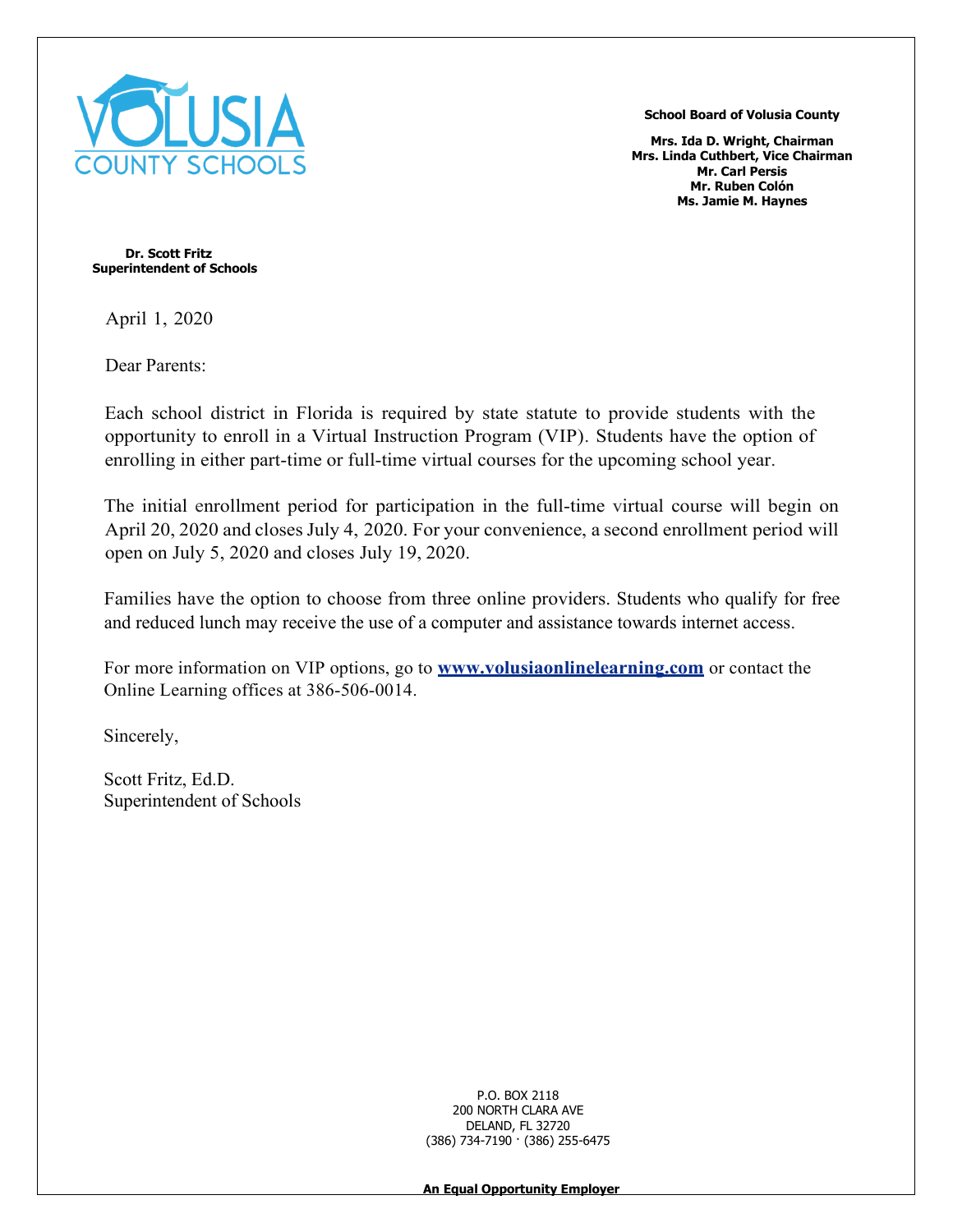

**School Board of Volusia County**

**Mrs. Ida D. Wright, Chairman Mrs. Linda Cuthbert, Vice Chairman Mr. Carl Persis Mr. Ruben Colón Ms. Jamie M. Haynes**

 **Dr. Scott Fritz Superintendent of Schools**

April 1, 2020

Dear Parents:

Each school district in Florida is required by state statute to provide students with the opportunity to enroll in a Virtual Instruction Program (VIP). Students have the option of enrolling in either part-time or full-time virtual courses for the upcoming school year.

The initial enrollment period for participation in the full-time virtual course will begin on April 20, 2020 and closes July 4, 2020. For your convenience, a second enrollment period will open on July 5, 2020 and closes July 19, 2020.

Families have the option to choose from three online providers. Students who qualify for free and reduced lunch may receive the use of a computer and assistance towards internet access.

For more information on VIP options, go to **[www.volusiaonlinelearning.com](http://www.volusiaonlinelearning.com/)** or contact the Online Learning offices at 386-506-0014.

Sincerely,

Scott Fritz, Ed.D. Superintendent of Schools

> P.O. BOX 2118 200 NORTH CLARA AVE DELAND, FL 32720 (386) 734-7190 · (386) 255-6475

**An Equal Opportunity Employer**